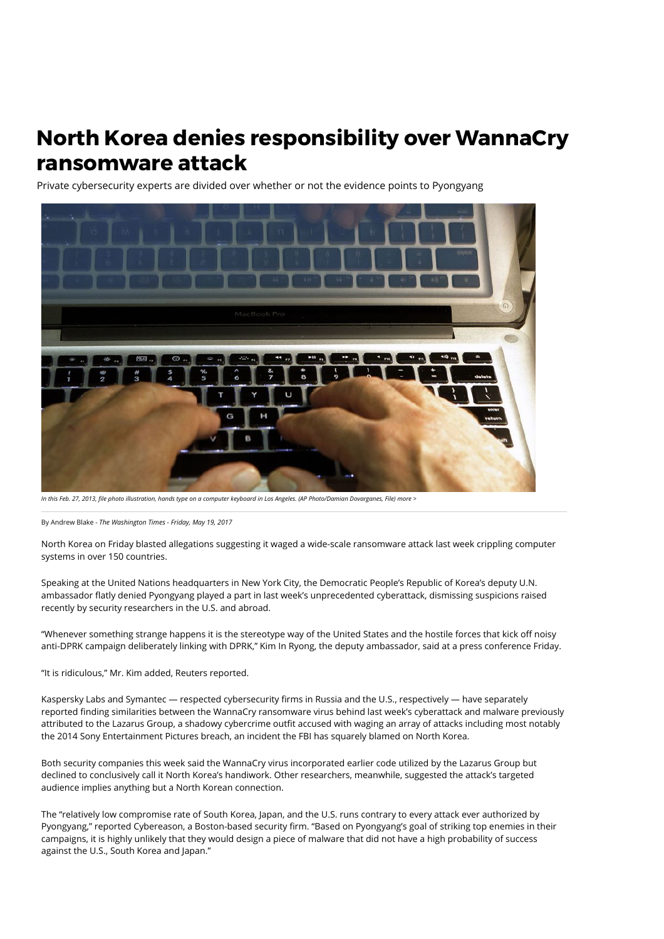## **North Korea denies responsibility over WannaCry ransomware attack**

Private cybersecurity experts are divided over whether or not the evidence points to Pyongyang



*In this Feb. 27, 2013, le photo illustration, hands type on a computer keyboard in Los Angeles. (AP Photo/Damian Dovarganes, File) [more >](http://www.washingtontimes.com/multimedia/image/tec-digital-life-cyber-spring-cleaning-tipsjpeg-1/)*

By [Andrew Blake](http://www.washingtontimes.com/staff/andrew-blake/) *- The Washington Times - Friday, May 19, 2017*

North Korea on Friday blasted allegations suggesting it waged a wide-scale ransomware attack last week crippling computer systems in over 150 countries.

Speaking at the United Nations headquarters in New York City, the Democratic People's Republic of Korea's deputy U.N. ambassador flatly denied Pyongyang played a part in last week's unprecedented cyberattack, dismissing suspicions raised recently by security researchers in the U.S. and abroad.

"Whenever something strange happens it is the stereotype way of the United States and the hostile forces that kick off noisy anti-DPRK campaign deliberately linking with DPRK," Kim In Ryong, the deputy ambassador, said at a press conference Friday.

"It is ridiculous," Mr. Kim added, Reuters [reported.](http://www.reuters.com/article/us-northkorea-nuclear-usa-un-idUSKCN18F230)

Kaspersky Labs and Symantec — respected cybersecurity firms in Russia and the U.S., respectively — have separately reported finding similarities between the WannaCry ransomware virus behind last week's cyberattack and malware previously attributed to the Lazarus Group, a shadowy cybercrime outfit accused with waging an array of attacks including most notably the 2014 Sony Entertainment Pictures breach, an incident the FBI has squarely blamed on North Korea.

Both security companies this week said the WannaCry virus incorporated earlier code utilized by the Lazarus Group but declined to conclusively call it North Korea's handiwork. Other researchers, meanwhile, suggested the attack's targeted audience implies anything but a North Korean connection.

The "relatively low compromise rate of South Korea, Japan, and the U.S. runs contrary to every attack ever authorized by Pyongyang," [reported](https://www.cybereason.com/blog-north-korea-is-unlikely-to-be-behind-the-wannacry-attack/) Cybereason, a Boston-based security firm. "Based on Pyongyang's goal of striking top enemies in their campaigns, it is highly unlikely that they would design a piece of malware that did not have a high probability of success against the U.S., South Korea and Japan."